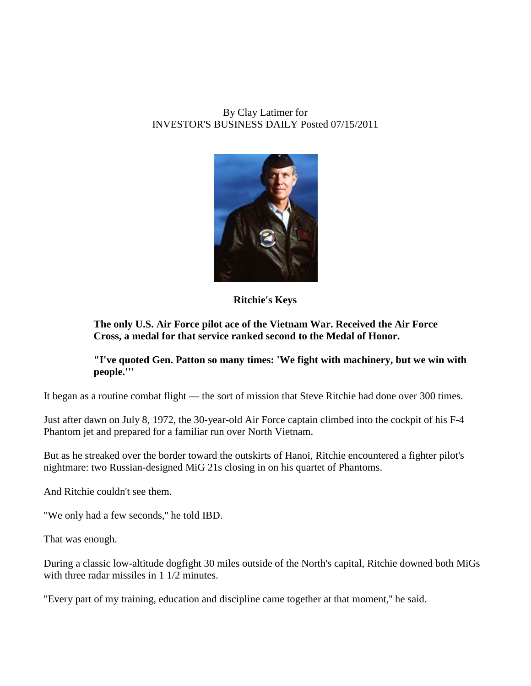# By Clay Latimer for INVESTOR'S BUSINESS DAILY Posted 07/15/2011



**Ritchie's Keys**

# **The only U.S. Air Force pilot ace of the Vietnam War. Received the Air Force Cross, a medal for that service ranked second to the Medal of Honor.**

## **"I've quoted Gen. Patton so many times: 'We fight with machinery, but we win with people.'''**

It began as a routine combat flight — the sort of mission that Steve Ritchie had done over 300 times.

Just after dawn on July 8, 1972, the 30-year-old Air Force captain climbed into the cockpit of his F-4 Phantom jet and prepared for a familiar run over North Vietnam.

But as he streaked over the border toward the outskirts of Hanoi, Ritchie encountered a fighter pilot's nightmare: two Russian-designed MiG 21s closing in on his quartet of Phantoms.

And Ritchie couldn't see them.

"We only had a few seconds,'' he told IBD.

That was enough.

During a classic low-altitude dogfight 30 miles outside of the North's capital, Ritchie downed both MiGs with three radar missiles in 1 1/2 minutes.

"Every part of my training, education and discipline came together at that moment,'' he said.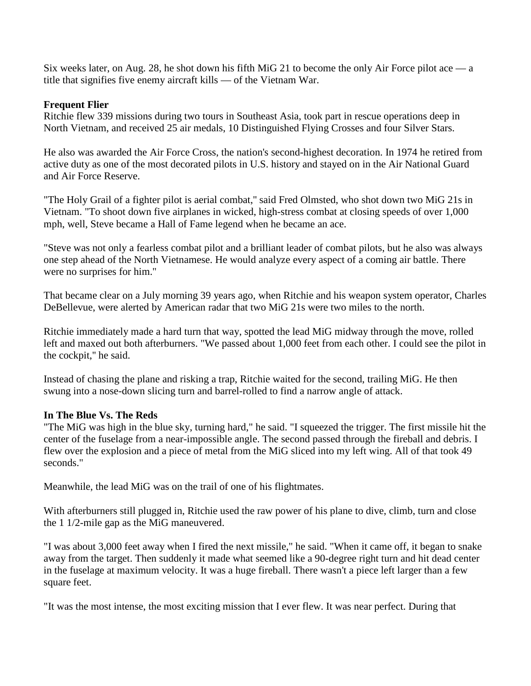Six weeks later, on Aug. 28, he shot down his fifth MiG 21 to become the only Air Force pilot ace — a title that signifies five enemy aircraft kills — of the Vietnam War.

### **Frequent Flier**

Ritchie flew 339 missions during two tours in Southeast Asia, took part in rescue operations deep in North Vietnam, and received 25 air medals, 10 Distinguished Flying Crosses and four Silver Stars.

He also was awarded the Air Force Cross, the nation's second-highest decoration. In 1974 he retired from active duty as one of the most decorated pilots in U.S. history and stayed on in the Air National Guard and Air Force Reserve.

"The Holy Grail of a fighter pilot is aerial combat," said Fred Olmsted, who shot down two MiG 21s in Vietnam. "To shoot down five airplanes in wicked, high-stress combat at closing speeds of over 1,000 mph, well, Steve became a Hall of Fame legend when he became an ace.

"Steve was not only a fearless combat pilot and a brilliant leader of combat pilots, but he also was always one step ahead of the North Vietnamese. He would analyze every aspect of a coming air battle. There were no surprises for him.''

That became clear on a July morning 39 years ago, when Ritchie and his weapon system operator, Charles DeBellevue, were alerted by American radar that two MiG 21s were two miles to the north.

Ritchie immediately made a hard turn that way, spotted the lead MiG midway through the move, rolled left and maxed out both afterburners. "We passed about 1,000 feet from each other. I could see the pilot in the cockpit,'' he said.

Instead of chasing the plane and risking a trap, Ritchie waited for the second, trailing MiG. He then swung into a nose-down slicing turn and barrel-rolled to find a narrow angle of attack.

## **In The Blue Vs. The Reds**

"The MiG was high in the blue sky, turning hard," he said. "I squeezed the trigger. The first missile hit the center of the fuselage from a near-impossible angle. The second passed through the fireball and debris. I flew over the explosion and a piece of metal from the MiG sliced into my left wing. All of that took 49 seconds."

Meanwhile, the lead MiG was on the trail of one of his flightmates.

With afterburners still plugged in, Ritchie used the raw power of his plane to dive, climb, turn and close the 1 1/2-mile gap as the MiG maneuvered.

"I was about 3,000 feet away when I fired the next missile," he said. "When it came off, it began to snake away from the target. Then suddenly it made what seemed like a 90-degree right turn and hit dead center in the fuselage at maximum velocity. It was a huge fireball. There wasn't a piece left larger than a few square feet.

"It was the most intense, the most exciting mission that I ever flew. It was near perfect. During that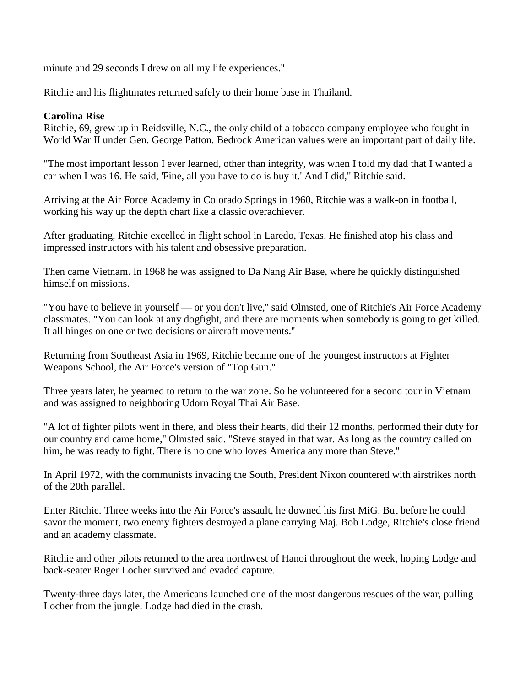minute and 29 seconds I drew on all my life experiences.''

Ritchie and his flightmates returned safely to their home base in Thailand.

### **Carolina Rise**

Ritchie, 69, grew up in Reidsville, N.C., the only child of a tobacco company employee who fought in World War II under Gen. George Patton. Bedrock American values were an important part of daily life.

"The most important lesson I ever learned, other than integrity, was when I told my dad that I wanted a car when I was 16. He said, 'Fine, all you have to do is buy it.' And I did,'' Ritchie said.

Arriving at the Air Force Academy in Colorado Springs in 1960, Ritchie was a walk-on in football, working his way up the depth chart like a classic overachiever.

After graduating, Ritchie excelled in flight school in Laredo, Texas. He finished atop his class and impressed instructors with his talent and obsessive preparation.

Then came Vietnam. In 1968 he was assigned to Da Nang Air Base, where he quickly distinguished himself on missions.

"You have to believe in yourself — or you don't live,'' said Olmsted, one of Ritchie's Air Force Academy classmates. "You can look at any dogfight, and there are moments when somebody is going to get killed. It all hinges on one or two decisions or aircraft movements.''

Returning from Southeast Asia in 1969, Ritchie became one of the youngest instructors at Fighter Weapons School, the Air Force's version of "Top Gun.''

Three years later, he yearned to return to the war zone. So he volunteered for a second tour in Vietnam and was assigned to neighboring Udorn Royal Thai Air Base.

"A lot of fighter pilots went in there, and bless their hearts, did their 12 months, performed their duty for our country and came home,'' Olmsted said. "Steve stayed in that war. As long as the country called on him, he was ready to fight. There is no one who loves America any more than Steve.''

In April 1972, with the communists invading the South, President Nixon countered with airstrikes north of the 20th parallel.

Enter Ritchie. Three weeks into the Air Force's assault, he downed his first MiG. But before he could savor the moment, two enemy fighters destroyed a plane carrying Maj. Bob Lodge, Ritchie's close friend and an academy classmate.

Ritchie and other pilots returned to the area northwest of Hanoi throughout the week, hoping Lodge and back-seater Roger Locher survived and evaded capture.

Twenty-three days later, the Americans launched one of the most dangerous rescues of the war, pulling Locher from the jungle. Lodge had died in the crash.